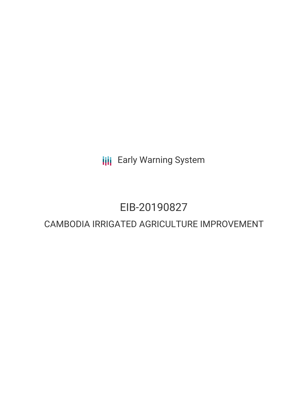**III** Early Warning System

# EIB-20190827

# CAMBODIA IRRIGATED AGRICULTURE IMPROVEMENT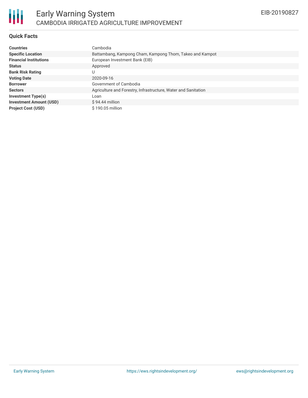

## **Quick Facts**

| <b>Countries</b>               | Cambodia                                                       |
|--------------------------------|----------------------------------------------------------------|
| <b>Specific Location</b>       | Battambang, Kampong Cham, Kampong Thom, Takeo and Kampot       |
| <b>Financial Institutions</b>  | European Investment Bank (EIB)                                 |
| <b>Status</b>                  | Approved                                                       |
| <b>Bank Risk Rating</b>        | U                                                              |
| <b>Voting Date</b>             | 2020-09-16                                                     |
| <b>Borrower</b>                | Government of Cambodia                                         |
| <b>Sectors</b>                 | Agriculture and Forestry, Infrastructure, Water and Sanitation |
| <b>Investment Type(s)</b>      | Loan                                                           |
| <b>Investment Amount (USD)</b> | $$94.44$ million                                               |
| <b>Project Cost (USD)</b>      | $$190.05$ million                                              |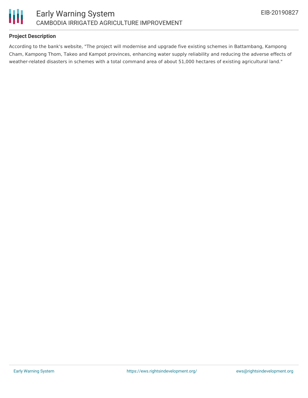

## **Project Description**

According to the bank's website, "The project will modernise and upgrade five existing schemes in Battambang, Kampong Cham, Kampong Thom, Takeo and Kampot provinces, enhancing water supply reliability and reducing the adverse effects of weather-related disasters in schemes with a total command area of about 51,000 hectares of existing agricultural land."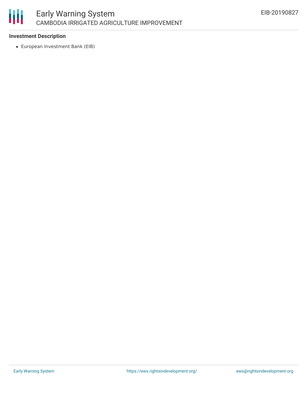

#### **Investment Description**

European Investment Bank (EIB)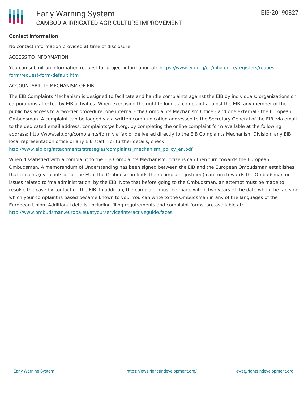

#### **Contact Information**

No contact information provided at time of disclosure.

#### ACCESS TO INFORMATION

You can submit an information request for project information at: [https://www.eib.org/en/infocentre/registers/request](https://www.eib.org/en/infocentre/registers/request-form/request-form-default.htm)form/request-form-default.htm

#### ACCOUNTABILITY MECHANISM OF EIB

The EIB Complaints Mechanism is designed to facilitate and handle complaints against the EIB by individuals, organizations or corporations affected by EIB activities. When exercising the right to lodge a complaint against the EIB, any member of the public has access to a two-tier procedure, one internal - the Complaints Mechanism Office - and one external - the European Ombudsman. A complaint can be lodged via a written communication addressed to the Secretary General of the EIB, via email to the dedicated email address: complaints@eib.org, by completing the online complaint form available at the following address: http://www.eib.org/complaints/form via fax or delivered directly to the EIB Complaints Mechanism Division, any EIB local representation office or any EIB staff. For further details, check:

[http://www.eib.org/attachments/strategies/complaints\\_mechanism\\_policy\\_en.pdf](http://www.eib.org/attachments/strategies/complaints_mechanism_policy_en.pdf)

When dissatisfied with a complaint to the EIB Complaints Mechanism, citizens can then turn towards the European Ombudsman. A memorandum of Understanding has been signed between the EIB and the European Ombudsman establishes that citizens (even outside of the EU if the Ombudsman finds their complaint justified) can turn towards the Ombudsman on issues related to 'maladministration' by the EIB. Note that before going to the Ombudsman, an attempt must be made to resolve the case by contacting the EIB. In addition, the complaint must be made within two years of the date when the facts on which your complaint is based became known to you. You can write to the Ombudsman in any of the languages of the European Union. Additional details, including filing requirements and complaint forms, are available at: <http://www.ombudsman.europa.eu/atyourservice/interactiveguide.faces>